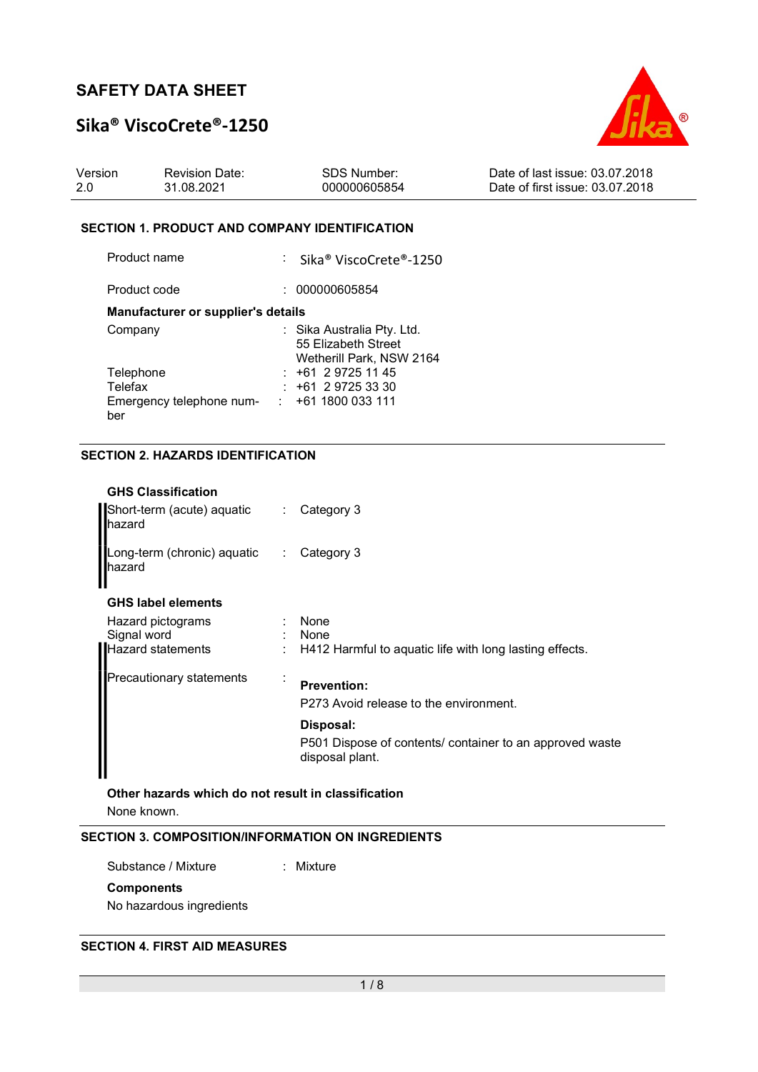# Sika® ViscoCrete®-1250



| Version | <b>Revision Date:</b> | SDS Number:  | Date of last issue: 03.07.2018  |
|---------|-----------------------|--------------|---------------------------------|
| 2.0     | 31.08.2021            | 000000605854 | Date of first issue: 03.07.2018 |

### SECTION 1. PRODUCT AND COMPANY IDENTIFICATION

| Product name                              | : Sika® ViscoCrete®-1250                                                      |
|-------------------------------------------|-------------------------------------------------------------------------------|
| Product code                              | 000000605854                                                                  |
| <b>Manufacturer or supplier's details</b> |                                                                               |
| Company                                   | : Sika Australia Pty. Ltd.<br>55 Elizabeth Street<br>Wetherill Park, NSW 2164 |
| Telephone                                 | $: +61297251145$                                                              |
| Telefax                                   | $: +61297253330$                                                              |
| Emergency telephone num-<br>ber           | $: +611800033111$                                                             |

## SECTION 2. HAZARDS IDENTIFICATION

| <b>GHS Classification</b>                                    |                              |                                                                                   |
|--------------------------------------------------------------|------------------------------|-----------------------------------------------------------------------------------|
| Short-term (acute) aquatic<br>lhazard                        | $\mathcal{L}_{\mathrm{max}}$ | Category 3                                                                        |
| Long-term (chronic) aquatic : Category 3<br>hazard           |                              |                                                                                   |
| <b>GHS label elements</b>                                    |                              |                                                                                   |
| Hazard pictograms<br>Signal word<br><b>Hazard statements</b> |                              | None<br>$:$ None<br>$\pm$ H412 Harmful to aquatic life with long lasting effects. |
| Precautionary statements                                     |                              | <b>Prevention:</b><br>P273 Avoid release to the environment.                      |
|                                                              |                              | Disposal:                                                                         |
|                                                              |                              | P501 Dispose of contents/ container to an approved waste<br>disposal plant.       |

Other hazards which do not result in classification None known.

### SECTION 3. COMPOSITION/INFORMATION ON INGREDIENTS

Substance / Mixture : Mixture

**Components** 

No hazardous ingredients

SECTION 4. FIRST AID MEASURES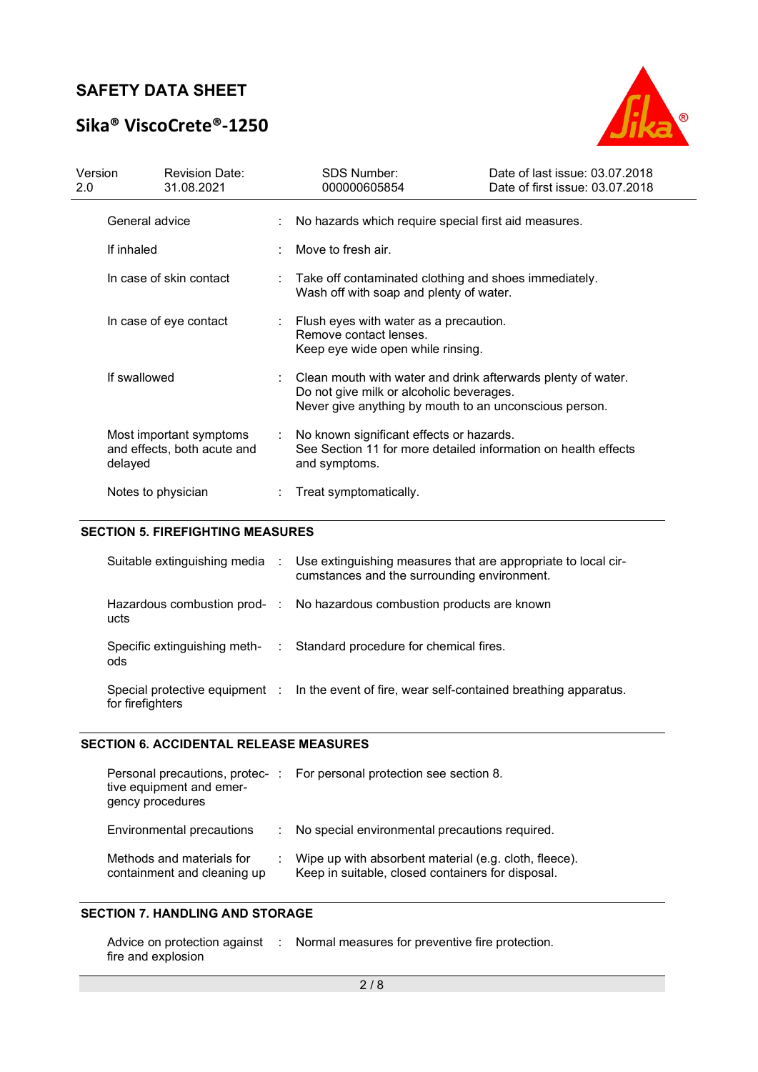# Sika® ViscoCrete®-1250



| Version<br>2.0 |                         | <b>Revision Date:</b><br>31.08.2021                    | <b>SDS Number:</b><br>000000605854                                                                                                                                 | Date of last issue: 03.07.2018<br>Date of first issue: 03.07.2018 |  |
|----------------|-------------------------|--------------------------------------------------------|--------------------------------------------------------------------------------------------------------------------------------------------------------------------|-------------------------------------------------------------------|--|
|                | General advice          |                                                        | No hazards which require special first aid measures.                                                                                                               |                                                                   |  |
|                | If inhaled              |                                                        | Move to fresh air.                                                                                                                                                 |                                                                   |  |
|                | In case of skin contact |                                                        | Take off contaminated clothing and shoes immediately.<br>Wash off with soap and plenty of water.                                                                   |                                                                   |  |
|                | In case of eye contact  |                                                        | Flush eyes with water as a precaution.<br>Remove contact lenses.<br>Keep eye wide open while rinsing.                                                              |                                                                   |  |
|                | If swallowed            |                                                        | Clean mouth with water and drink afterwards plenty of water.<br>Do not give milk or alcoholic beverages.<br>Never give anything by mouth to an unconscious person. |                                                                   |  |
|                | delayed                 | Most important symptoms<br>and effects, both acute and | No known significant effects or hazards.<br>See Section 11 for more detailed information on health effects<br>and symptoms.                                        |                                                                   |  |
|                | Notes to physician      |                                                        | Treat symptomatically.                                                                                                                                             |                                                                   |  |

### SECTION 5. FIREFIGHTING MEASURES

|                  | Suitable extinguishing media : Use extinguishing measures that are appropriate to local cir-<br>cumstances and the surrounding environment. |
|------------------|---------------------------------------------------------------------------------------------------------------------------------------------|
| ucts             | Hazardous combustion prod- : No hazardous combustion products are known                                                                     |
| ods              | Specific extinguishing meth- : Standard procedure for chemical fires.                                                                       |
| for firefighters | Special protective equipment : In the event of fire, wear self-contained breathing apparatus.                                               |

#### SECTION 6. ACCIDENTAL RELEASE MEASURES

| tive equipment and emer-<br>gency procedures             |    | Personal precautions, protec-: For personal protection see section 8.                                      |
|----------------------------------------------------------|----|------------------------------------------------------------------------------------------------------------|
| Environmental precautions                                | t. | No special environmental precautions required.                                                             |
| Methods and materials for<br>containment and cleaning up |    | Wipe up with absorbent material (e.g. cloth, fleece).<br>Keep in suitable, closed containers for disposal. |

## SECTION 7. HANDLING AND STORAGE

|                    | Advice on protection against : Normal measures for preventive fire protection. |
|--------------------|--------------------------------------------------------------------------------|
| fire and explosion |                                                                                |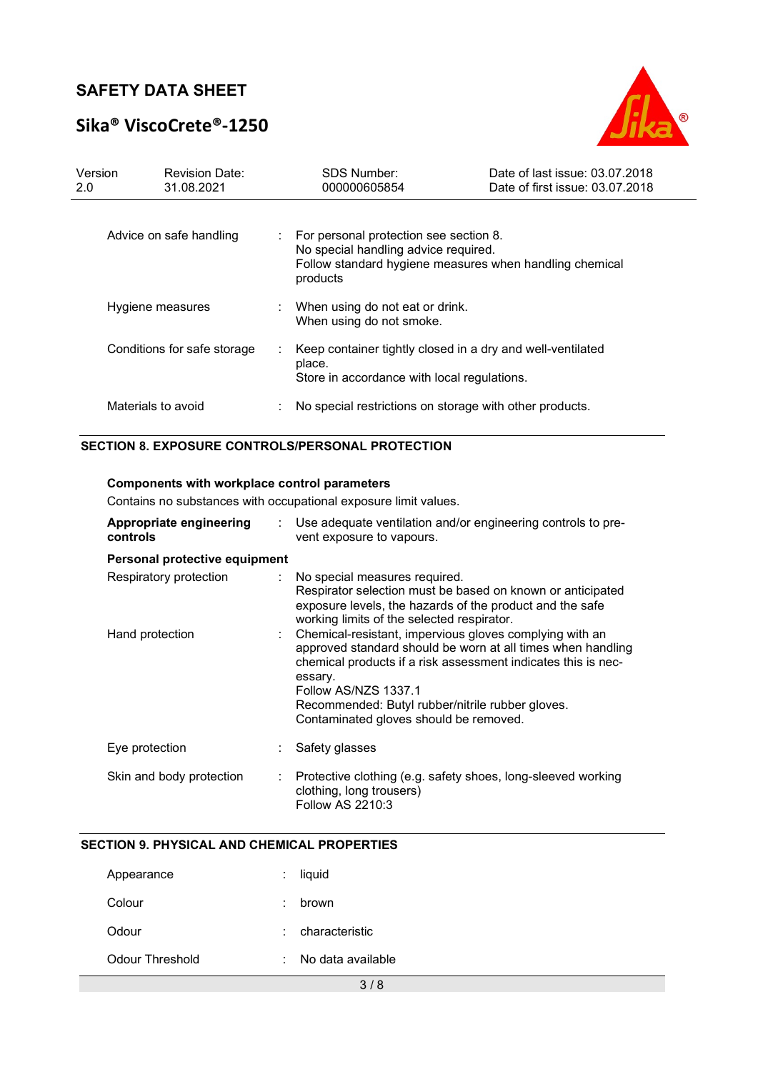# Sika® ViscoCrete®-1250



| Version<br>2.0 |                    | <b>Revision Date:</b><br>31.08.2021 | <b>SDS Number:</b><br>000000605854                                                                                                                    | Date of last issue: 03.07.2018<br>Date of first issue: 03.07.2018 |
|----------------|--------------------|-------------------------------------|-------------------------------------------------------------------------------------------------------------------------------------------------------|-------------------------------------------------------------------|
|                |                    | Advice on safe handling             | For personal protection see section 8.<br>No special handling advice required.<br>Follow standard hygiene measures when handling chemical<br>products |                                                                   |
|                | Hygiene measures   |                                     | When using do not eat or drink.<br>When using do not smoke.                                                                                           |                                                                   |
|                |                    | Conditions for safe storage         | Keep container tightly closed in a dry and well-ventilated<br>place.<br>Store in accordance with local regulations.                                   |                                                                   |
|                | Materials to avoid |                                     | No special restrictions on storage with other products.                                                                                               |                                                                   |

## SECTION 8. EXPOSURE CONTROLS/PERSONAL PROTECTION

### Components with workplace control parameters

Contains no substances with occupational exposure limit values.

| Appropriate engineering<br>controls |                | Use adequate ventilation and/or engineering controls to pre-<br>vent exposure to vapours.                                                                                                                                                                                                                                |
|-------------------------------------|----------------|--------------------------------------------------------------------------------------------------------------------------------------------------------------------------------------------------------------------------------------------------------------------------------------------------------------------------|
| Personal protective equipment       |                |                                                                                                                                                                                                                                                                                                                          |
| Respiratory protection              |                | : No special measures required.<br>Respirator selection must be based on known or anticipated<br>exposure levels, the hazards of the product and the safe<br>working limits of the selected respirator.                                                                                                                  |
| Hand protection                     |                | Chemical-resistant, impervious gloves complying with an<br>approved standard should be worn at all times when handling<br>chemical products if a risk assessment indicates this is nec-<br>essary.<br>Follow AS/NZS 1337.1<br>Recommended: Butyl rubber/nitrile rubber gloves.<br>Contaminated gloves should be removed. |
| Eye protection                      |                | Safety glasses                                                                                                                                                                                                                                                                                                           |
| Skin and body protection            | $\mathbb{R}^n$ | Protective clothing (e.g. safety shoes, long-sleeved working<br>clothing, long trousers)<br>Follow AS 2210:3                                                                                                                                                                                                             |

## SECTION 9. PHYSICAL AND CHEMICAL PROPERTIES

| Appearance      | ÷      | liquid            |
|-----------------|--------|-------------------|
| Colour          | ٠      | brown             |
| Odour           | $\sim$ | characteristic    |
| Odour Threshold | t.     | No data available |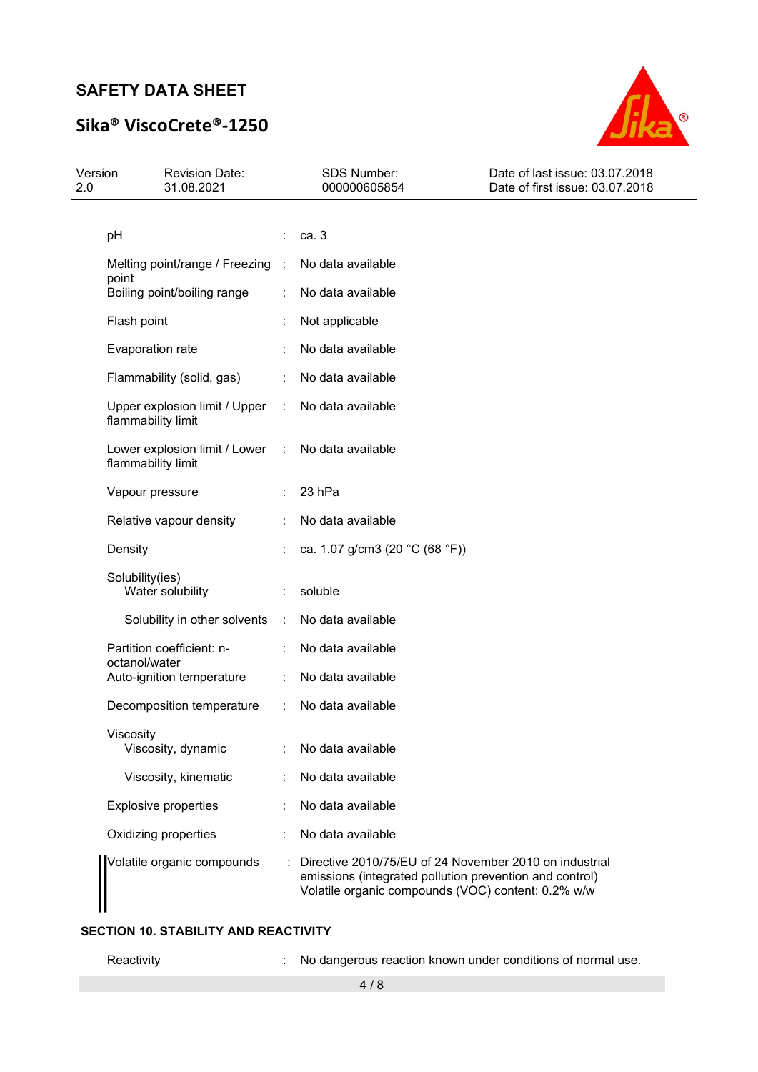# Sika® ViscoCrete®-1250



| Version<br>2.0 |                    | <b>Revision Date:</b><br>31.08.2021 |    | <b>SDS Number:</b><br>000000605854                                                                                                                                      | Date of last issue: 03.07.2018<br>Date of first issue: 03.07.2018 |
|----------------|--------------------|-------------------------------------|----|-------------------------------------------------------------------------------------------------------------------------------------------------------------------------|-------------------------------------------------------------------|
|                |                    |                                     |    |                                                                                                                                                                         |                                                                   |
|                | pH                 |                                     |    | ca. 3                                                                                                                                                                   |                                                                   |
|                | point              | Melting point/range / Freezing :    |    | No data available                                                                                                                                                       |                                                                   |
|                |                    | Boiling point/boiling range         |    | No data available                                                                                                                                                       |                                                                   |
|                | Flash point        |                                     |    | Not applicable                                                                                                                                                          |                                                                   |
|                | Evaporation rate   |                                     |    | No data available                                                                                                                                                       |                                                                   |
|                |                    | Flammability (solid, gas)           |    | No data available                                                                                                                                                       |                                                                   |
|                | flammability limit | Upper explosion limit / Upper       | ÷. | No data available                                                                                                                                                       |                                                                   |
|                | flammability limit | Lower explosion limit / Lower :     |    | No data available                                                                                                                                                       |                                                                   |
|                | Vapour pressure    |                                     |    | 23 hPa                                                                                                                                                                  |                                                                   |
|                |                    | Relative vapour density             |    | No data available                                                                                                                                                       |                                                                   |
|                | Density            |                                     |    | ca. 1.07 g/cm3 (20 °C (68 °F))                                                                                                                                          |                                                                   |
|                | Solubility(ies)    | Water solubility                    |    | soluble                                                                                                                                                                 |                                                                   |
|                |                    | Solubility in other solvents        | ÷  | No data available                                                                                                                                                       |                                                                   |
|                |                    | Partition coefficient: n-           |    | No data available                                                                                                                                                       |                                                                   |
|                | octanol/water      | Auto-ignition temperature           |    | No data available                                                                                                                                                       |                                                                   |
|                |                    | Decomposition temperature           | ÷  | No data available                                                                                                                                                       |                                                                   |
|                | Viscosity          | Viscosity, dynamic                  |    | No data available                                                                                                                                                       |                                                                   |
|                |                    | Viscosity, kinematic                |    | No data available                                                                                                                                                       |                                                                   |
|                |                    | <b>Explosive properties</b>         |    | No data available                                                                                                                                                       |                                                                   |
|                |                    | Oxidizing properties                |    | No data available                                                                                                                                                       |                                                                   |
|                |                    | Volatile organic compounds          |    | Directive 2010/75/EU of 24 November 2010 on industrial<br>emissions (integrated pollution prevention and control)<br>Volatile organic compounds (VOC) content: 0.2% w/w |                                                                   |

### SECTION 10. STABILITY AND REACTIVITY

Reactivity **Reactivity** : No dangerous reaction known under conditions of normal use.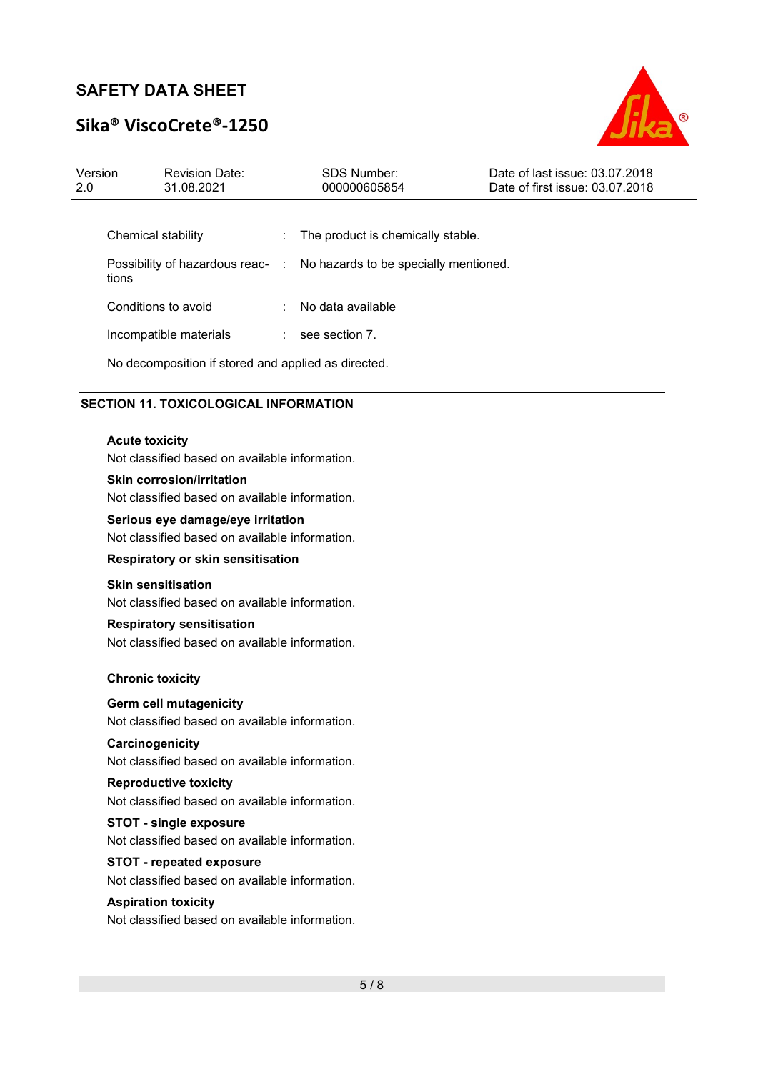# Sika® ViscoCrete®-1250



| Version<br>2.0 |                                                     | <b>Revision Date:</b><br>31.08.2021 |  | <b>SDS Number:</b><br>000000605854    | Date of last issue: 03.07.2018<br>Date of first issue: 03.07.2018 |
|----------------|-----------------------------------------------------|-------------------------------------|--|---------------------------------------|-------------------------------------------------------------------|
|                |                                                     |                                     |  |                                       |                                                                   |
|                | Chemical stability                                  |                                     |  | The product is chemically stable.     |                                                                   |
|                | tions                                               | Possibility of hazardous reac- :    |  | No hazards to be specially mentioned. |                                                                   |
|                | Conditions to avoid                                 |                                     |  | $\therefore$ No data available        |                                                                   |
|                |                                                     | Incompatible materials              |  | see section 7.                        |                                                                   |
|                | No decomposition if stored and applied as directed. |                                     |  |                                       |                                                                   |

### SECTION 11. TOXICOLOGICAL INFORMATION

### Acute toxicity

Not classified based on available information.

#### Skin corrosion/irritation

Not classified based on available information.

#### Serious eye damage/eye irritation

Not classified based on available information.

#### Respiratory or skin sensitisation

#### Skin sensitisation

Not classified based on available information.

#### Respiratory sensitisation

Not classified based on available information.

#### Chronic toxicity

#### Germ cell mutagenicity

Not classified based on available information.

### **Carcinogenicity**

Not classified based on available information.

## Reproductive toxicity

Not classified based on available information.

## STOT - single exposure

Not classified based on available information.

## STOT - repeated exposure

Not classified based on available information.

### Aspiration toxicity

Not classified based on available information.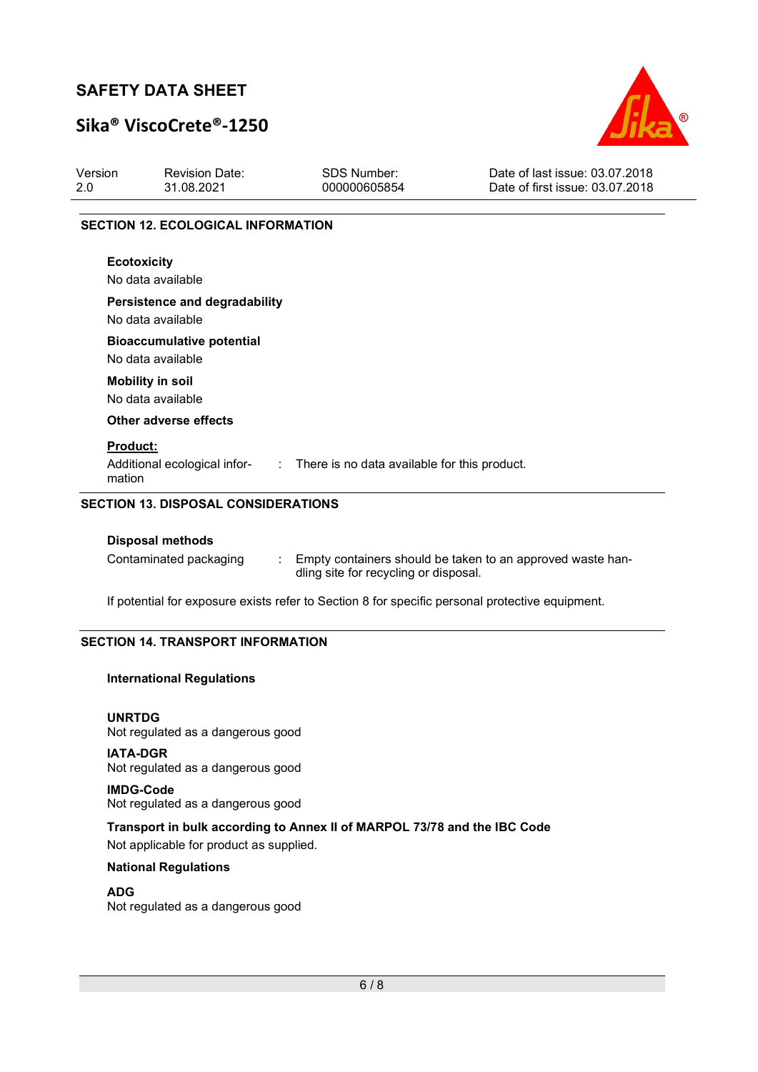# Sika® ViscoCrete®-1250



| Version<br>2.0  | <b>Revision Date:</b><br>31.08.2021       | <b>SDS Number:</b><br>000000605854             | Date of last issue: 03.07.2018<br>Date of first issue: 03.07.2018 |  |  |
|-----------------|-------------------------------------------|------------------------------------------------|-------------------------------------------------------------------|--|--|
|                 | <b>SECTION 12. ECOLOGICAL INFORMATION</b> |                                                |                                                                   |  |  |
|                 |                                           |                                                |                                                                   |  |  |
|                 | <b>Ecotoxicity</b>                        |                                                |                                                                   |  |  |
|                 | No data available                         |                                                |                                                                   |  |  |
|                 | <b>Persistence and degradability</b>      |                                                |                                                                   |  |  |
|                 | No data available                         |                                                |                                                                   |  |  |
|                 | <b>Bioaccumulative potential</b>          |                                                |                                                                   |  |  |
|                 | No data available                         |                                                |                                                                   |  |  |
|                 | <b>Mobility in soil</b>                   |                                                |                                                                   |  |  |
|                 | No data available                         |                                                |                                                                   |  |  |
|                 | Other adverse effects                     |                                                |                                                                   |  |  |
| <b>Product:</b> |                                           |                                                |                                                                   |  |  |
| mation          | Additional ecological infor-              | : There is no data available for this product. |                                                                   |  |  |

#### SECTION 13. DISPOSAL CONSIDERATIONS

#### Disposal methods

Contaminated packaging : Empty containers should be taken to an approved waste handling site for recycling or disposal.

If potential for exposure exists refer to Section 8 for specific personal protective equipment.

### SECTION 14. TRANSPORT INFORMATION

#### International Regulations

UNRTDG Not regulated as a dangerous good

IATA-DGR Not regulated as a dangerous good

IMDG-Code Not regulated as a dangerous good

#### Transport in bulk according to Annex II of MARPOL 73/78 and the IBC Code

Not applicable for product as supplied.

#### National Regulations

## ADG

Not regulated as a dangerous good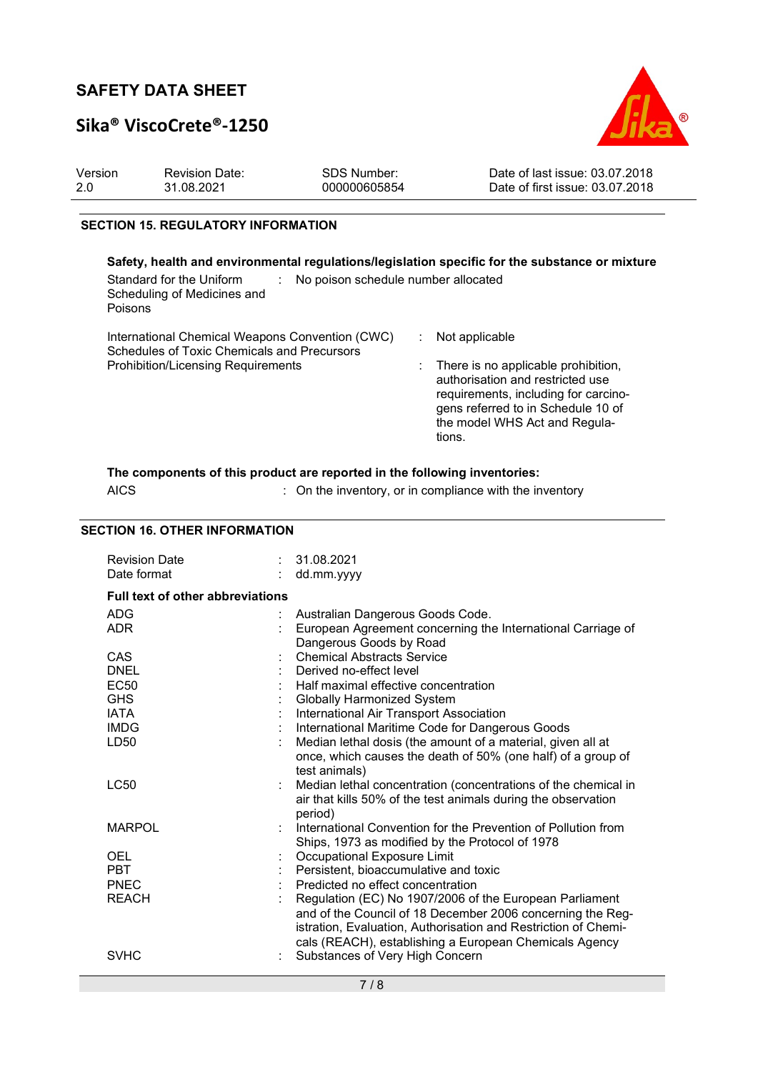## Sika® ViscoCrete®-1250



| Version | <b>Revision Date:</b> | SDS Number:  | Date of last issue: 03.07.2018  |
|---------|-----------------------|--------------|---------------------------------|
| 2.0     | 31.08.2021            | 000000605854 | Date of first issue: 03.07.2018 |
|         |                       |              |                                 |

#### SECTION 15. REGULATORY INFORMATION

#### Safety, health and environmental regulations/legislation specific for the substance or mixture Standard for the Uniform Scheduling of Medicines and Poisons : No poison schedule number allocated International Chemical Weapons Convention (CWC) Schedules of Toxic Chemicals and Precursors : Not applicable Prohibition/Licensing Requirements : There is no applicable prohibition, authorisation and restricted use requirements, including for carcinogens referred to in Schedule 10 of the model WHS Act and Regula-

#### The components of this product are reported in the following inventories:

AICS **Subset AICS** : On the inventory, or in compliance with the inventory

tions.

#### SECTION 16. OTHER INFORMATION

| <b>Revision Date</b><br>Date format     |  | 31.08.2021<br>dd.mm.yyyy                                                               |  |  |  |  |
|-----------------------------------------|--|----------------------------------------------------------------------------------------|--|--|--|--|
| <b>Full text of other abbreviations</b> |  |                                                                                        |  |  |  |  |
| <b>ADG</b>                              |  | Australian Dangerous Goods Code.                                                       |  |  |  |  |
| <b>ADR</b>                              |  | European Agreement concerning the International Carriage of<br>Dangerous Goods by Road |  |  |  |  |
| CAS                                     |  | <b>Chemical Abstracts Service</b>                                                      |  |  |  |  |
| <b>DNEL</b>                             |  | Derived no-effect level                                                                |  |  |  |  |
| <b>EC50</b>                             |  | Half maximal effective concentration                                                   |  |  |  |  |
| <b>GHS</b>                              |  | Globally Harmonized System                                                             |  |  |  |  |
| <b>IATA</b>                             |  | International Air Transport Association                                                |  |  |  |  |
| <b>IMDG</b>                             |  | International Maritime Code for Dangerous Goods                                        |  |  |  |  |
| LD50                                    |  | Median lethal dosis (the amount of a material, given all at                            |  |  |  |  |
|                                         |  | once, which causes the death of 50% (one half) of a group of<br>test animals)          |  |  |  |  |
| LC50                                    |  | Median lethal concentration (concentrations of the chemical in                         |  |  |  |  |
|                                         |  | air that kills 50% of the test animals during the observation<br>period)               |  |  |  |  |
| <b>MARPOL</b>                           |  | International Convention for the Prevention of Pollution from                          |  |  |  |  |
|                                         |  | Ships, 1973 as modified by the Protocol of 1978                                        |  |  |  |  |
| <b>OEL</b>                              |  | Occupational Exposure Limit                                                            |  |  |  |  |
| <b>PBT</b>                              |  | Persistent, bioaccumulative and toxic                                                  |  |  |  |  |
| <b>PNEC</b>                             |  | Predicted no effect concentration                                                      |  |  |  |  |
| <b>REACH</b>                            |  | Regulation (EC) No 1907/2006 of the European Parliament                                |  |  |  |  |
|                                         |  | and of the Council of 18 December 2006 concerning the Reg-                             |  |  |  |  |
|                                         |  | istration, Evaluation, Authorisation and Restriction of Chemi-                         |  |  |  |  |
|                                         |  | cals (REACH), establishing a European Chemicals Agency                                 |  |  |  |  |
| <b>SVHC</b>                             |  | Substances of Very High Concern                                                        |  |  |  |  |
|                                         |  |                                                                                        |  |  |  |  |